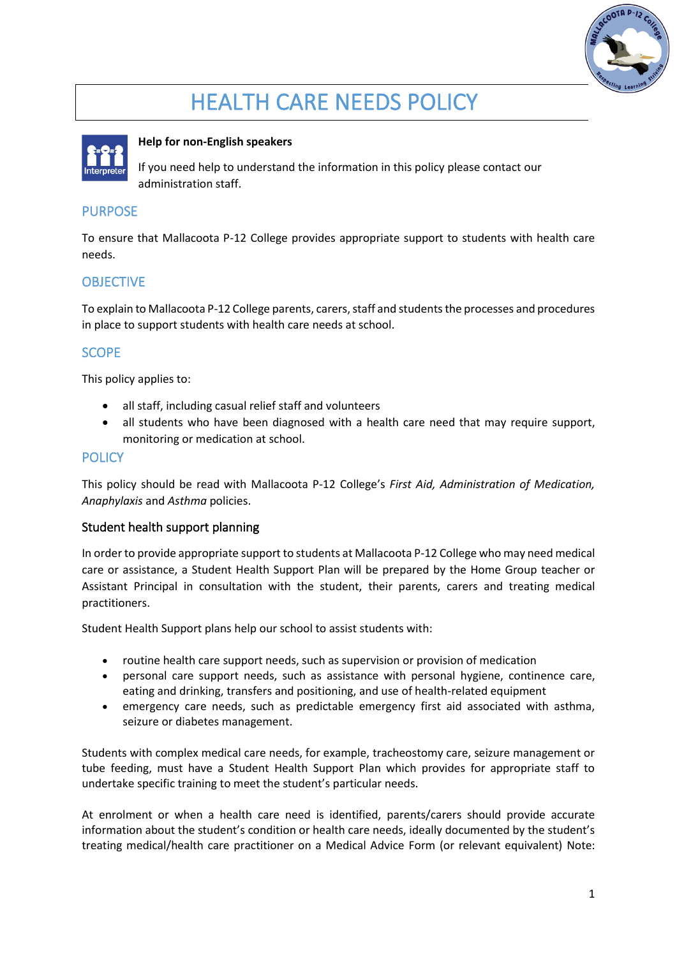

# HEALTH CARE NEEDS POLICY



#### **Help for non-English speakers**

If you need help to understand the information in this policy please contact our administration staff.

### PURPOSE

To ensure that Mallacoota P-12 College provides appropriate support to students with health care needs.

# **OBJECTIVE**

To explain to Mallacoota P-12 College parents, carers, staff and students the processes and procedures in place to support students with health care needs at school.

# **SCOPE**

This policy applies to:

- all staff, including casual relief staff and volunteers
- all students who have been diagnosed with a health care need that may require support, monitoring or medication at school.

#### **POLICY**

This policy should be read with Mallacoota P-12 College's *First Aid, Administration of Medication, Anaphylaxis* and *Asthma* policies.

#### Student health support planning

In order to provide appropriate support to students at Mallacoota P-12 College who may need medical care or assistance, a Student Health Support Plan will be prepared by the Home Group teacher or Assistant Principal in consultation with the student, their parents, carers and treating medical practitioners.

Student Health Support plans help our school to assist students with:

- routine health care support needs, such as supervision or provision of medication
- personal care support needs, such as assistance with personal hygiene, continence care, eating and drinking, transfers and positioning, and use of health-related equipment
- emergency care needs, such as predictable emergency first aid associated with asthma, seizure or diabetes management.

Students with complex medical care needs, for example, tracheostomy care, seizure management or tube feeding, must have a Student Health Support Plan which provides for appropriate staff to undertake specific training to meet the student's particular needs.

At enrolment or when a health care need is identified, parents/carers should provide accurate information about the student's condition or health care needs, ideally documented by the student's treating medical/health care practitioner on a Medical Advice Form (or relevant equivalent) Note: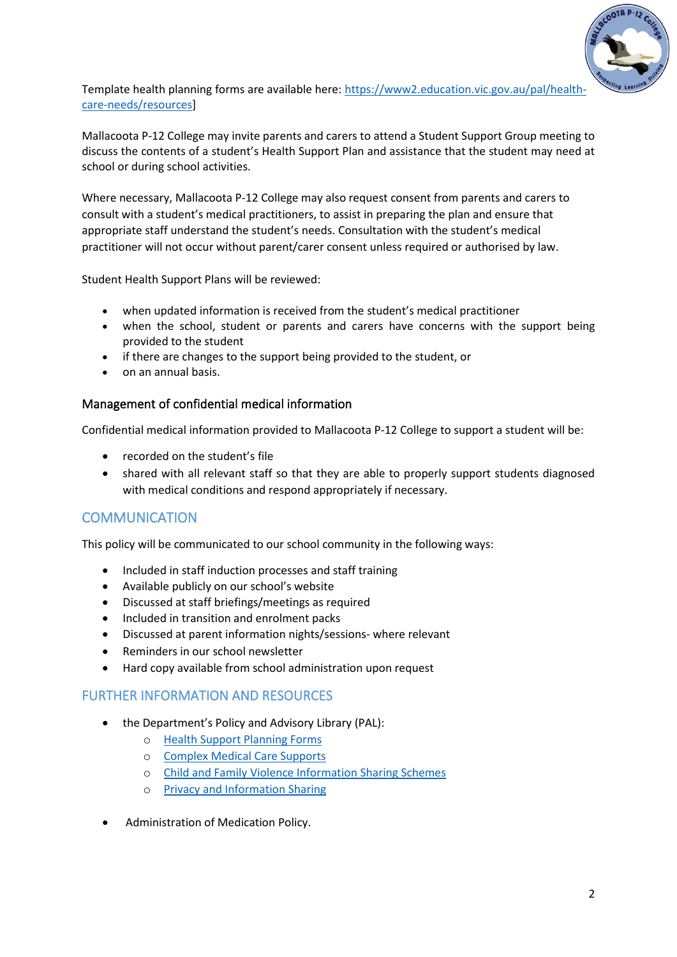

Template health planning forms are available here: [https://www2.education.vic.gov.au/pal/health](https://www2.education.vic.gov.au/pal/health-care-needs/resources)[care-needs/resources\]](https://www2.education.vic.gov.au/pal/health-care-needs/resources)

Mallacoota P-12 College may invite parents and carers to attend a Student Support Group meeting to discuss the contents of a student's Health Support Plan and assistance that the student may need at school or during school activities.

Where necessary, Mallacoota P-12 College may also request consent from parents and carers to consult with a student's medical practitioners, to assist in preparing the plan and ensure that appropriate staff understand the student's needs. Consultation with the student's medical practitioner will not occur without parent/carer consent unless required or authorised by law.

Student Health Support Plans will be reviewed:

- when updated information is received from the student's medical practitioner
- when the school, student or parents and carers have concerns with the support being provided to the student
- if there are changes to the support being provided to the student, or
- on an annual basis.

#### Management of confidential medical information

Confidential medical information provided to Mallacoota P-12 College to support a student will be:

- recorded on the student's file
- shared with all relevant staff so that they are able to properly support students diagnosed with medical conditions and respond appropriately if necessary.

# COMMUNICATION

This policy will be communicated to our school community in the following ways:

- Included in staff induction processes and staff training
- Available publicly on our school's website
- Discussed at staff briefings/meetings as required
- Included in transition and enrolment packs
- Discussed at parent information nights/sessions- where relevant
- Reminders in our school newsletter
- Hard copy available from school administration upon request

# FURTHER INFORMATION AND RESOURCES

- the Department's Policy and Advisory Library (PAL):
	- o [Health Support Planning Forms](https://www2.education.vic.gov.au/pal/health-care-needs/resources)
	- o [Complex Medical Care Supports](https://www2.education.vic.gov.au/pal/health-care-needs/guidance/complex-medical-care-supports)
	- o [Child and Family Violence Information Sharing Schemes](https://www2.education.vic.gov.au/pal/information-sharing-schemes/policy)
	- o [Privacy and Information Sharing](https://www2.education.vic.gov.au/pal/privacy-information-sharing/policy)
- Administration of Medication Policy.